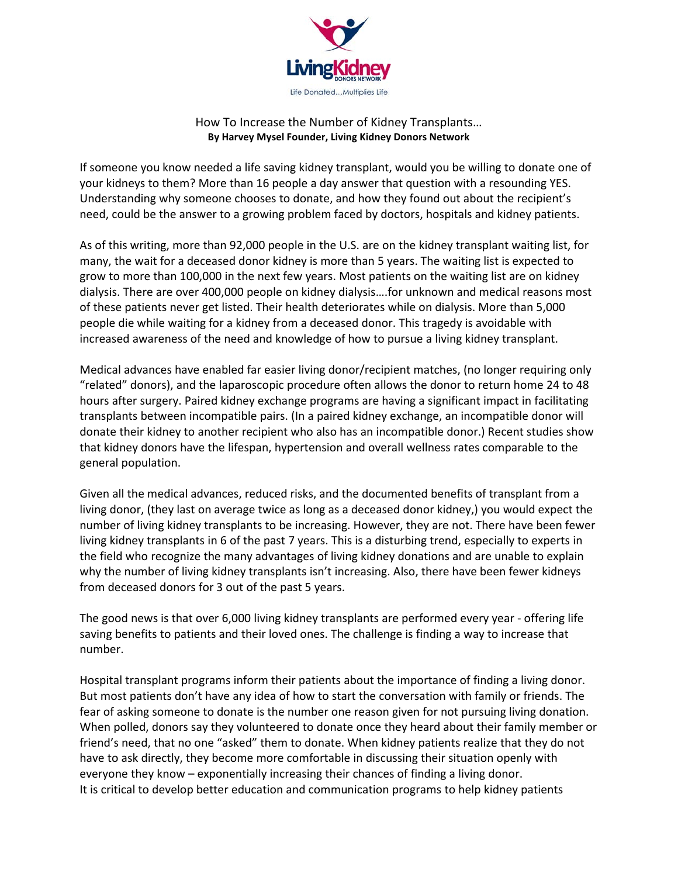

## How To Increase the Number of Kidney Transplants… By Harvey Mysel Founder, Living Kidney Donors Network

If someone you know needed a life saving kidney transplant, would you be willing to donate one of your kidneys to them? More than 16 people a day answer that question with a resounding YES. Understanding why someone chooses to donate, and how they found out about the recipient's need, could be the answer to a growing problem faced by doctors, hospitals and kidney patients.

As of this writing, more than 92,000 people in the U.S. are on the kidney transplant waiting list, for many, the wait for a deceased donor kidney is more than 5 years. The waiting list is expected to grow to more than 100,000 in the next few years. Most patients on the waiting list are on kidney dialysis. There are over 400,000 people on kidney dialysis….for unknown and medical reasons most of these patients never get listed. Their health deteriorates while on dialysis. More than 5,000 people die while waiting for a kidney from a deceased donor. This tragedy is avoidable with increased awareness of the need and knowledge of how to pursue a living kidney transplant.

Medical advances have enabled far easier living donor/recipient matches, (no longer requiring only "related" donors), and the laparoscopic procedure often allows the donor to return home 24 to 48 hours after surgery. Paired kidney exchange programs are having a significant impact in facilitating transplants between incompatible pairs. (In a paired kidney exchange, an incompatible donor will donate their kidney to another recipient who also has an incompatible donor.) Recent studies show that kidney donors have the lifespan, hypertension and overall wellness rates comparable to the general population.

Given all the medical advances, reduced risks, and the documented benefits of transplant from a living donor, (they last on average twice as long as a deceased donor kidney,) you would expect the number of living kidney transplants to be increasing. However, they are not. There have been fewer living kidney transplants in 6 of the past 7 years. This is a disturbing trend, especially to experts in the field who recognize the many advantages of living kidney donations and are unable to explain why the number of living kidney transplants isn't increasing. Also, there have been fewer kidneys from deceased donors for 3 out of the past 5 years.

The good news is that over 6,000 living kidney transplants are performed every year - offering life saving benefits to patients and their loved ones. The challenge is finding a way to increase that number.

Hospital transplant programs inform their patients about the importance of finding a living donor. But most patients don't have any idea of how to start the conversation with family or friends. The fear of asking someone to donate is the number one reason given for not pursuing living donation. When polled, donors say they volunteered to donate once they heard about their family member or friend's need, that no one "asked" them to donate. When kidney patients realize that they do not have to ask directly, they become more comfortable in discussing their situation openly with everyone they know – exponentially increasing their chances of finding a living donor. It is critical to develop better education and communication programs to help kidney patients